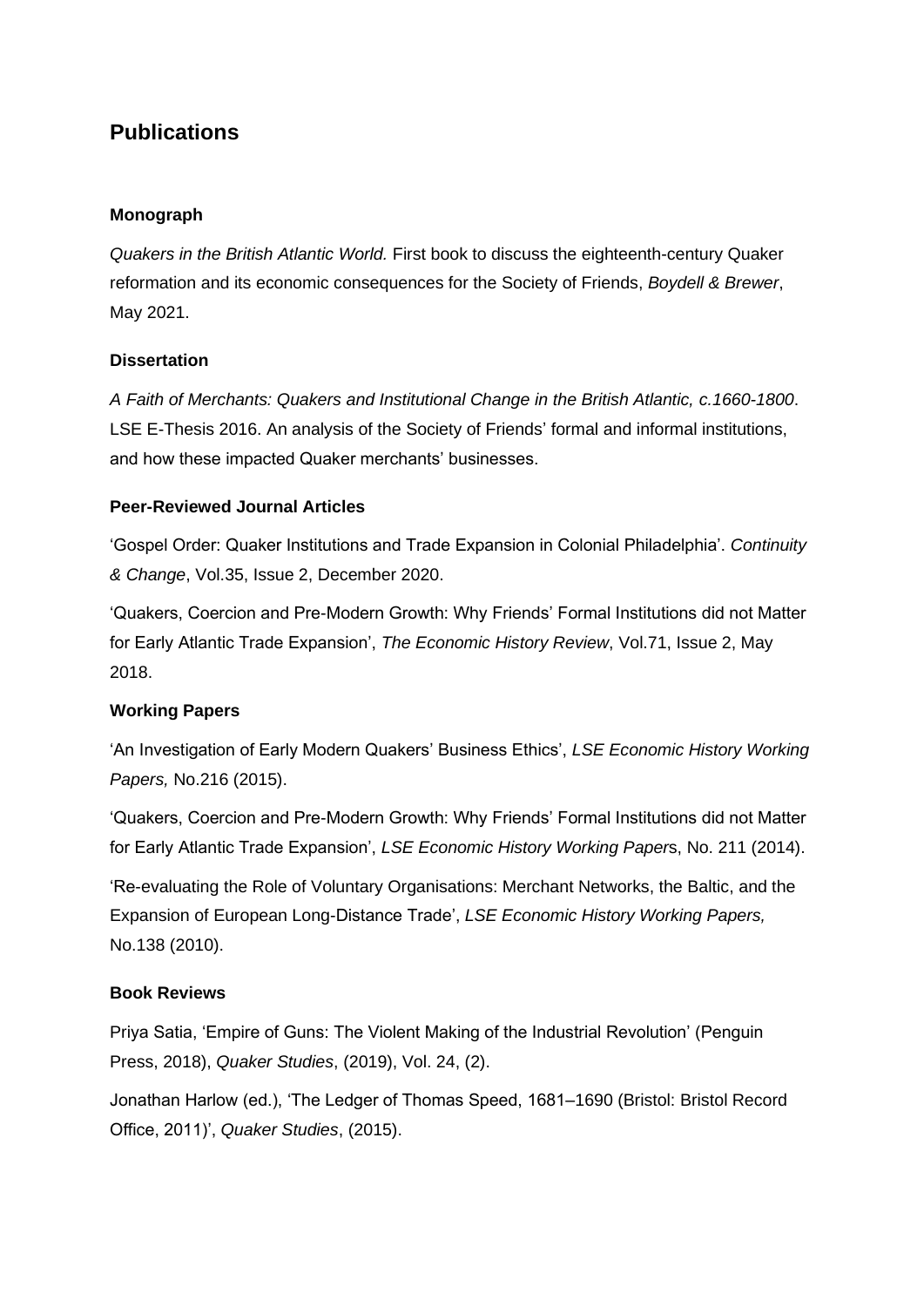# **Publications**

#### **Monograph**

*Quakers in the British Atlantic World.* First book to discuss the eighteenth-century Quaker reformation and its economic consequences for the Society of Friends, *Boydell & Brewer*, May 2021.

### **Dissertation**

*A Faith of Merchants: Quakers and Institutional Change in the British Atlantic, c.1660-1800*. LSE E-Thesis 2016. An analysis of the Society of Friends' formal and informal institutions, and how these impacted Quaker merchants' businesses.

### **Peer-Reviewed Journal Articles**

'Gospel Order: Quaker Institutions and Trade Expansion in Colonial Philadelphia'. *Continuity & Change*, Vol.35, Issue 2, December 2020.

'Quakers, Coercion and Pre-Modern Growth: Why Friends' Formal Institutions did not Matter for Early Atlantic Trade Expansion', *The Economic History Review*, Vol.71, Issue 2, May 2018.

## **Working Papers**

'An Investigation of Early Modern Quakers' Business Ethics', *LSE Economic History Working Papers,* No.216 (2015).

'Quakers, Coercion and Pre-Modern Growth: Why Friends' Formal Institutions did not Matter for Early Atlantic Trade Expansion', *LSE Economic History Working Paper*s, No. 211 (2014).

'Re-evaluating the Role of Voluntary Organisations: Merchant Networks, the Baltic, and the Expansion of European Long-Distance Trade', *LSE Economic History Working Papers,*  No.138 (2010).

#### **Book Reviews**

Priya Satia, 'Empire of Guns: The Violent Making of the Industrial Revolution' (Penguin Press, 2018), *Quaker Studies*, (2019), Vol. 24, (2).

Jonathan Harlow (ed.), 'The Ledger of Thomas Speed, 1681–1690 (Bristol: Bristol Record Office, 2011)', *Quaker Studies*, (2015).